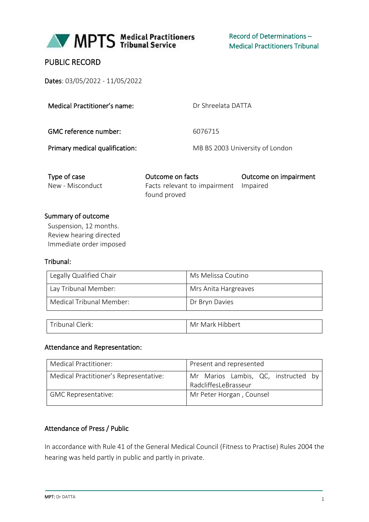

# PUBLIC RECORD

Dates: 03/05/2022 - 11/05/2022

| Medical Practitioner's name:   | Dr Shreelata DATTA              |
|--------------------------------|---------------------------------|
| GMC reference number:          | 6076715                         |
| Primary medical qualification: | MB BS 2003 University of London |

| Type of case     | Outcome on facts                      | Outcome on impairment |
|------------------|---------------------------------------|-----------------------|
| New - Misconduct | Facts relevant to impairment Impaired |                       |
|                  | found proved                          |                       |

### Summary of outcome

Suspension, 12 months. Review hearing directed Immediate order imposed

#### Tribunal:

| Legally Qualified Chair  | Ms Melissa Coutino   |
|--------------------------|----------------------|
| Lay Tribunal Member:     | Mrs Anita Hargreaves |
| Medical Tribunal Member: | Dr Bryn Davies       |

| Tribunal C.<br>Clerk: | Mr Mark Hibbert |
|-----------------------|-----------------|

### Attendance and Representation:

| Medical Practitioner:                  | Present and represented                                     |  |
|----------------------------------------|-------------------------------------------------------------|--|
| Medical Practitioner's Representative: | Mr Marios Lambis, QC, instructed by<br>RadcliffesLeBrasseur |  |
| <b>GMC Representative:</b>             | Mr Peter Horgan, Counsel                                    |  |

#### Attendance of Press / Public

In accordance with Rule 41 of the General Medical Council (Fitness to Practise) Rules 2004 the hearing was held partly in public and partly in private.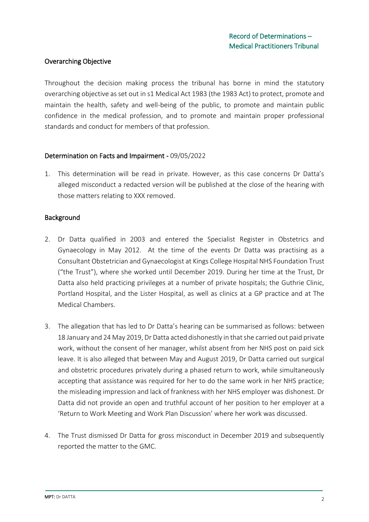### Overarching Objective

Throughout the decision making process the tribunal has borne in mind the statutory overarching objective as set out in s1 Medical Act 1983 (the 1983 Act) to protect, promote and maintain the health, safety and well-being of the public, to promote and maintain public confidence in the medical profession, and to promote and maintain proper professional standards and conduct for members of that profession.

#### Determination on Facts and Impairment - 09/05/2022

1. This determination will be read in private. However, as this case concerns Dr Datta's alleged misconduct a redacted version will be published at the close of the hearing with those matters relating to XXX removed.

#### Background

- 2. Dr Datta qualified in 2003 and entered the Specialist Register in Obstetrics and Gynaecology in May 2012. At the time of the events Dr Datta was practising as a Consultant Obstetrician and Gynaecologist at Kings College Hospital NHS Foundation Trust ("the Trust"), where she worked until December 2019. During her time at the Trust, Dr Datta also held practicing privileges at a number of private hospitals; the Guthrie Clinic, Portland Hospital, and the Lister Hospital, as well as clinics at a GP practice and at The Medical Chambers.
- 3. The allegation that has led to Dr Datta's hearing can be summarised as follows: between 18 January and 24 May 2019, Dr Datta acted dishonestly in that she carried out paid private work, without the consent of her manager, whilst absent from her NHS post on paid sick leave. It is also alleged that between May and August 2019, Dr Datta carried out surgical and obstetric procedures privately during a phased return to work, while simultaneously accepting that assistance was required for her to do the same work in her NHS practice; the misleading impression and lack of frankness with her NHS employer was dishonest. Dr Datta did not provide an open and truthful account of her position to her employer at a 'Return to Work Meeting and Work Plan Discussion' where her work was discussed.
- 4. The Trust dismissed Dr Datta for gross misconduct in December 2019 and subsequently reported the matter to the GMC.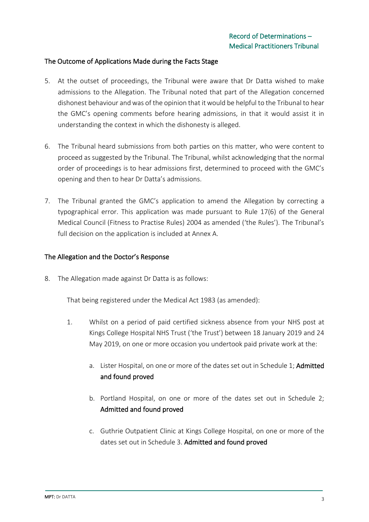#### The Outcome of Applications Made during the Facts Stage

- 5. At the outset of proceedings, the Tribunal were aware that Dr Datta wished to make admissions to the Allegation. The Tribunal noted that part of the Allegation concerned dishonest behaviour and was of the opinion that it would be helpful to the Tribunal to hear the GMC's opening comments before hearing admissions, in that it would assist it in understanding the context in which the dishonesty is alleged.
- 6. The Tribunal heard submissions from both parties on this matter, who were content to proceed as suggested by the Tribunal. The Tribunal, whilst acknowledging that the normal order of proceedings is to hear admissions first, determined to proceed with the GMC's opening and then to hear Dr Datta's admissions.
- 7. The Tribunal granted the GMC's application to amend the Allegation by correcting a typographical error. This application was made pursuant to Rule 17(6) of the General Medical Council (Fitness to Practise Rules) 2004 as amended ('the Rules'). The Tribunal's full decision on the application is included at Annex A.

#### The Allegation and the Doctor's Response

8. The Allegation made against Dr Datta is as follows:

That being registered under the Medical Act 1983 (as amended):

- 1. Whilst on a period of paid certified sickness absence from your NHS post at Kings College Hospital NHS Trust ('the Trust') between 18 January 2019 and 24 May 2019, on one or more occasion you undertook paid private work at the:
	- a. Lister Hospital, on one or more of the dates set out in Schedule 1; Admitted and found proved
	- b. Portland Hospital, on one or more of the dates set out in Schedule 2; Admitted and found proved
	- c. Guthrie Outpatient Clinic at Kings College Hospital, on one or more of the dates set out in Schedule 3. Admitted and found proved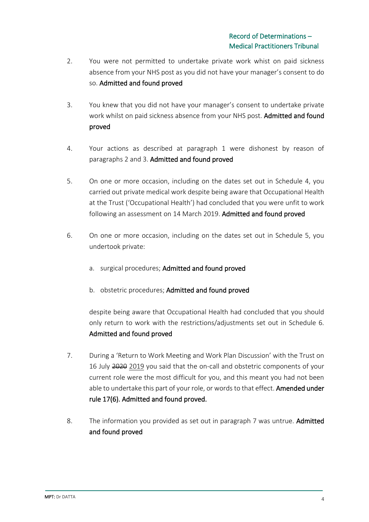- 2. You were not permitted to undertake private work whist on paid sickness absence from your NHS post as you did not have your manager's consent to do so. Admitted and found proved
- 3. You knew that you did not have your manager's consent to undertake private work whilst on paid sickness absence from your NHS post. Admitted and found proved
- 4. Your actions as described at paragraph 1 were dishonest by reason of paragraphs 2 and 3. Admitted and found proved
- 5. On one or more occasion, including on the dates set out in Schedule 4, you carried out private medical work despite being aware that Occupational Health at the Trust ('Occupational Health') had concluded that you were unfit to work following an assessment on 14 March 2019. Admitted and found proved
- 6. On one or more occasion, including on the dates set out in Schedule 5, you undertook private:
	- a. surgical procedures; Admitted and found proved
	- b. obstetric procedures; Admitted and found proved

despite being aware that Occupational Health had concluded that you should only return to work with the restrictions/adjustments set out in Schedule 6. Admitted and found proved

- 7. During a 'Return to Work Meeting and Work Plan Discussion' with the Trust on 16 July 2020 2019 you said that the on-call and obstetric components of your current role were the most difficult for you, and this meant you had not been able to undertake this part of your role, or words to that effect. Amended under rule 17(6). Admitted and found proved.
- 8. The information you provided as set out in paragraph 7 was untrue. Admitted and found proved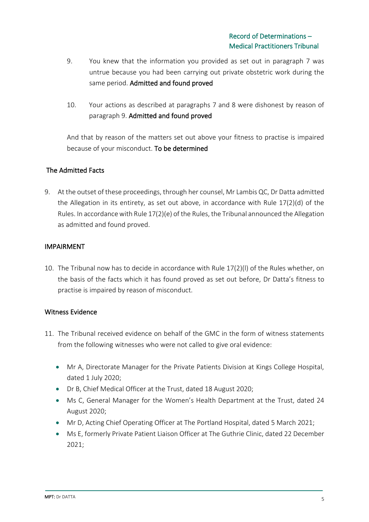- 9. You knew that the information you provided as set out in paragraph 7 was untrue because you had been carrying out private obstetric work during the same period. Admitted and found proved
- 10. Your actions as described at paragraphs 7 and 8 were dishonest by reason of paragraph 9. Admitted and found proved

And that by reason of the matters set out above your fitness to practise is impaired because of your misconduct. To be determined

# The Admitted Facts

9. At the outset of these proceedings, through her counsel, Mr Lambis QC, Dr Datta admitted the Allegation in its entirety, as set out above, in accordance with Rule  $17(2)(d)$  of the Rules. In accordance with Rule 17(2)(e) of the Rules, the Tribunal announced the Allegation as admitted and found proved.

### IMPAIRMENT

10. The Tribunal now has to decide in accordance with Rule 17(2)(l) of the Rules whether, on the basis of the facts which it has found proved as set out before, Dr Datta's fitness to practise is impaired by reason of misconduct.

### Witness Evidence

- 11. The Tribunal received evidence on behalf of the GMC in the form of witness statements from the following witnesses who were not called to give oral evidence:
	- Mr A, Directorate Manager for the Private Patients Division at Kings College Hospital, dated 1 July 2020;
	- Dr B, Chief Medical Officer at the Trust, dated 18 August 2020;
	- Ms C, General Manager for the Women's Health Department at the Trust, dated 24 August 2020;
	- Mr D, Acting Chief Operating Officer at The Portland Hospital, dated 5 March 2021;
	- Ms E, formerly Private Patient Liaison Officer at The Guthrie Clinic, dated 22 December 2021;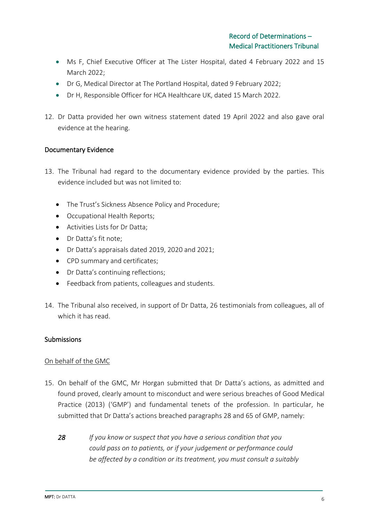- Ms F, Chief Executive Officer at The Lister Hospital, dated 4 February 2022 and 15 March 2022;
- Dr G, Medical Director at The Portland Hospital, dated 9 February 2022;
- Dr H, Responsible Officer for HCA Healthcare UK, dated 15 March 2022.
- 12. Dr Datta provided her own witness statement dated 19 April 2022 and also gave oral evidence at the hearing.

### Documentary Evidence

- 13. The Tribunal had regard to the documentary evidence provided by the parties. This evidence included but was not limited to:
	- The Trust's Sickness Absence Policy and Procedure;
	- Occupational Health Reports;
	- Activities Lists for Dr Datta;
	- Dr Datta's fit note;
	- Dr Datta's appraisals dated 2019, 2020 and 2021;
	- CPD summary and certificates;
	- Dr Datta's continuing reflections;
	- Feedback from patients, colleagues and students.
- 14. The Tribunal also received, in support of Dr Datta, 26 testimonials from colleagues, all of which it has read.

#### Submissions

#### On behalf of the GMC

- 15. On behalf of the GMC, Mr Horgan submitted that Dr Datta's actions, as admitted and found proved, clearly amount to misconduct and were serious breaches of Good Medical Practice (2013) ('GMP') and fundamental tenets of the profession. In particular, he submitted that Dr Datta's actions breached paragraphs 28 and 65 of GMP, namely:
	- *28 If you know or suspect that you have a serious condition that you could pass on to patients, or if your judgement or performance could be affected by a condition or its treatment, you must consult a suitably*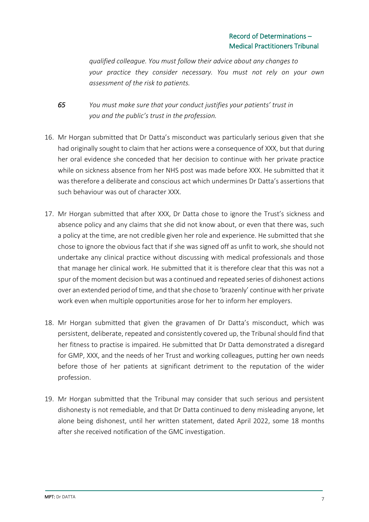*qualified colleague. You must follow their advice about any changes to your practice they consider necessary. You must not rely on your own assessment of the risk to patients.*

- *65 You must make sure that your conduct justifies your patients' trust in you and the public's trust in the profession.*
- 16. Mr Horgan submitted that Dr Datta's misconduct was particularly serious given that she had originally sought to claim that her actions were a consequence of XXX, but that during her oral evidence she conceded that her decision to continue with her private practice while on sickness absence from her NHS post was made before XXX. He submitted that it was therefore a deliberate and conscious act which undermines Dr Datta's assertions that such behaviour was out of character XXX.
- 17. Mr Horgan submitted that after XXX, Dr Datta chose to ignore the Trust's sickness and absence policy and any claims that she did not know about, or even that there was, such a policy at the time, are not credible given her role and experience. He submitted that she chose to ignore the obvious fact that if she was signed off as unfit to work, she should not undertake any clinical practice without discussing with medical professionals and those that manage her clinical work. He submitted that it is therefore clear that this was not a spur of the moment decision but was a continued and repeated series of dishonest actions over an extended period of time, and that she chose to 'brazenly' continue with her private work even when multiple opportunities arose for her to inform her employers.
- 18. Mr Horgan submitted that given the gravamen of Dr Datta's misconduct, which was persistent, deliberate, repeated and consistently covered up, the Tribunal should find that her fitness to practise is impaired. He submitted that Dr Datta demonstrated a disregard for GMP, XXX, and the needs of her Trust and working colleagues, putting her own needs before those of her patients at significant detriment to the reputation of the wider profession.
- 19. Mr Horgan submitted that the Tribunal may consider that such serious and persistent dishonesty is not remediable, and that Dr Datta continued to deny misleading anyone, let alone being dishonest, until her written statement, dated April 2022, some 18 months after she received notification of the GMC investigation.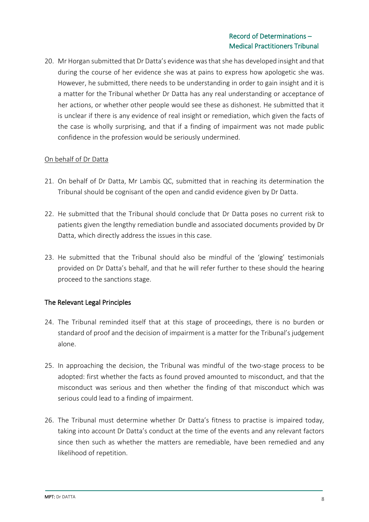20. Mr Horgan submitted that Dr Datta's evidence was that she has developed insight and that during the course of her evidence she was at pains to express how apologetic she was. However, he submitted, there needs to be understanding in order to gain insight and it is a matter for the Tribunal whether Dr Datta has any real understanding or acceptance of her actions, or whether other people would see these as dishonest. He submitted that it is unclear if there is any evidence of real insight or remediation, which given the facts of the case is wholly surprising, and that if a finding of impairment was not made public confidence in the profession would be seriously undermined.

# On behalf of Dr Datta

- 21. On behalf of Dr Datta, Mr Lambis QC, submitted that in reaching its determination the Tribunal should be cognisant of the open and candid evidence given by Dr Datta.
- 22. He submitted that the Tribunal should conclude that Dr Datta poses no current risk to patients given the lengthy remediation bundle and associated documents provided by Dr Datta, which directly address the issues in this case.
- 23. He submitted that the Tribunal should also be mindful of the 'glowing' testimonials provided on Dr Datta's behalf, and that he will refer further to these should the hearing proceed to the sanctions stage.

# The Relevant Legal Principles

- 24. The Tribunal reminded itself that at this stage of proceedings, there is no burden or standard of proof and the decision of impairment is a matter for the Tribunal's judgement alone.
- 25. In approaching the decision, the Tribunal was mindful of the two-stage process to be adopted: first whether the facts as found proved amounted to misconduct, and that the misconduct was serious and then whether the finding of that misconduct which was serious could lead to a finding of impairment.
- 26. The Tribunal must determine whether Dr Datta's fitness to practise is impaired today, taking into account Dr Datta's conduct at the time of the events and any relevant factors since then such as whether the matters are remediable, have been remedied and any likelihood of repetition.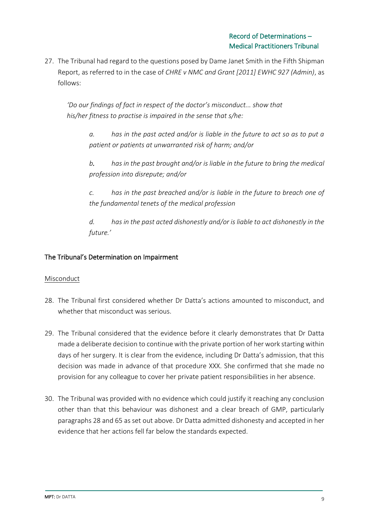27. The Tribunal had regard to the questions posed by Dame Janet Smith in the Fifth Shipman Report, as referred to in the case of *CHRE v NMC and Grant [2011] EWHC 927 (Admin)*, as follows:

*'Do our findings of fact in respect of the doctor's misconduct... show that his/her fitness to practise is impaired in the sense that s/he:* 

*a. has in the past acted and/or is liable in the future to act so as to put a patient or patients at unwarranted risk of harm; and/or*

*b. has in the past brought and/or is liable in the future to bring the medical profession into disrepute; and/or* 

*c. has in the past breached and/or is liable in the future to breach one of the fundamental tenets of the medical profession*

*d. has in the past acted dishonestly and/or is liable to act dishonestly in the future.'*

# The Tribunal's Determination on Impairment

### Misconduct

- 28. The Tribunal first considered whether Dr Datta's actions amounted to misconduct, and whether that misconduct was serious.
- 29. The Tribunal considered that the evidence before it clearly demonstrates that Dr Datta made a deliberate decision to continue with the private portion of her work starting within days of her surgery. It is clear from the evidence, including Dr Datta's admission, that this decision was made in advance of that procedure XXX. She confirmed that she made no provision for any colleague to cover her private patient responsibilities in her absence.
- 30. The Tribunal was provided with no evidence which could justify it reaching any conclusion other than that this behaviour was dishonest and a clear breach of GMP, particularly paragraphs 28 and 65 as set out above. Dr Datta admitted dishonesty and accepted in her evidence that her actions fell far below the standards expected.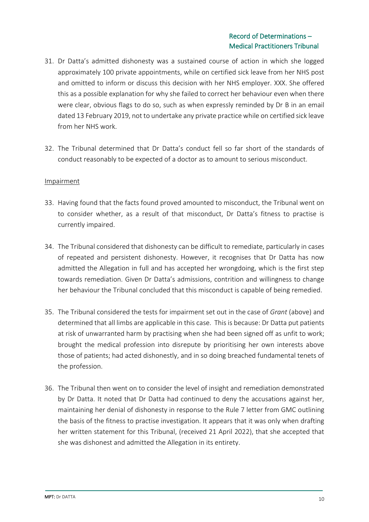- 31. Dr Datta's admitted dishonesty was a sustained course of action in which she logged approximately 100 private appointments, while on certified sick leave from her NHS post and omitted to inform or discuss this decision with her NHS employer. XXX. She offered this as a possible explanation for why she failed to correct her behaviour even when there were clear, obvious flags to do so, such as when expressly reminded by Dr B in an email dated 13 February 2019, not to undertake any private practice while on certified sick leave from her NHS work.
- 32. The Tribunal determined that Dr Datta's conduct fell so far short of the standards of conduct reasonably to be expected of a doctor as to amount to serious misconduct.

### **Impairment**

- 33. Having found that the facts found proved amounted to misconduct, the Tribunal went on to consider whether, as a result of that misconduct, Dr Datta's fitness to practise is currently impaired.
- 34. The Tribunal considered that dishonesty can be difficult to remediate, particularly in cases of repeated and persistent dishonesty. However, it recognises that Dr Datta has now admitted the Allegation in full and has accepted her wrongdoing, which is the first step towards remediation. Given Dr Datta's admissions, contrition and willingness to change her behaviour the Tribunal concluded that this misconduct is capable of being remedied.
- 35. The Tribunal considered the tests for impairment set out in the case of *Grant* (above) and determined that all limbs are applicable in this case. This is because: Dr Datta put patients at risk of unwarranted harm by practising when she had been signed off as unfit to work; brought the medical profession into disrepute by prioritising her own interests above those of patients; had acted dishonestly, and in so doing breached fundamental tenets of the profession.
- 36. The Tribunal then went on to consider the level of insight and remediation demonstrated by Dr Datta. It noted that Dr Datta had continued to deny the accusations against her, maintaining her denial of dishonesty in response to the Rule 7 letter from GMC outlining the basis of the fitness to practise investigation. It appears that it was only when drafting her written statement for this Tribunal, (received 21 April 2022), that she accepted that she was dishonest and admitted the Allegation in its entirety.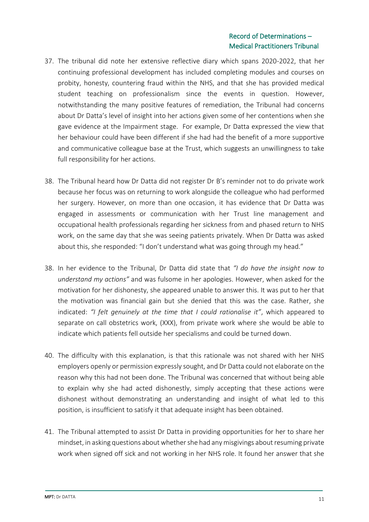- 37. The tribunal did note her extensive reflective diary which spans 2020-2022, that her continuing professional development has included completing modules and courses on probity, honesty, countering fraud within the NHS, and that she has provided medical student teaching on professionalism since the events in question. However, notwithstanding the many positive features of remediation, the Tribunal had concerns about Dr Datta's level of insight into her actions given some of her contentions when she gave evidence at the Impairment stage. For example, Dr Datta expressed the view that her behaviour could have been different if she had had the benefit of a more supportive and communicative colleague base at the Trust, which suggests an unwillingness to take full responsibility for her actions.
- 38. The Tribunal heard how Dr Datta did not register Dr B's reminder not to do private work because her focus was on returning to work alongside the colleague who had performed her surgery. However, on more than one occasion, it has evidence that Dr Datta was engaged in assessments or communication with her Trust line management and occupational health professionals regarding her sickness from and phased return to NHS work, on the same day that she was seeing patients privately. When Dr Datta was asked about this, she responded: "I don't understand what was going through my head."
- 38. In her evidence to the Tribunal, Dr Datta did state that *"I do have the insight now to understand my actions"* and was fulsome in her apologies. However, when asked for the motivation for her dishonesty, she appeared unable to answer this. It was put to her that the motivation was financial gain but she denied that this was the case. Rather, she indicated: *"I felt genuinely at the time that I could rationalise it"*, which appeared to separate on call obstetrics work, (XXX), from private work where she would be able to indicate which patients fell outside her specialisms and could be turned down.
- 40. The difficulty with this explanation, is that this rationale was not shared with her NHS employers openly or permission expressly sought, and Dr Datta could not elaborate on the reason why this had not been done. The Tribunal was concerned that without being able to explain why she had acted dishonestly, simply accepting that these actions were dishonest without demonstrating an understanding and insight of what led to this position, is insufficient to satisfy it that adequate insight has been obtained.
- 41. The Tribunal attempted to assist Dr Datta in providing opportunities for her to share her mindset, in asking questions about whether she had any misgivings about resuming private work when signed off sick and not working in her NHS role. It found her answer that she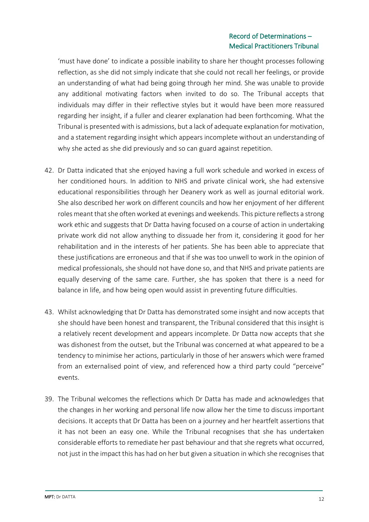'must have done' to indicate a possible inability to share her thought processes following reflection, as she did not simply indicate that she could not recall her feelings, or provide an understanding of what had being going through her mind. She was unable to provide any additional motivating factors when invited to do so. The Tribunal accepts that individuals may differ in their reflective styles but it would have been more reassured regarding her insight, if a fuller and clearer explanation had been forthcoming. What the Tribunal is presented with is admissions, but a lack of adequate explanation for motivation, and a statement regarding insight which appears incomplete without an understanding of why she acted as she did previously and so can guard against repetition.

- 42. Dr Datta indicated that she enjoyed having a full work schedule and worked in excess of her conditioned hours. In addition to NHS and private clinical work, she had extensive educational responsibilities through her Deanery work as well as journal editorial work. She also described her work on different councils and how her enjoyment of her different roles meant that she often worked at evenings and weekends. This picture reflects a strong work ethic and suggests that Dr Datta having focused on a course of action in undertaking private work did not allow anything to dissuade her from it, considering it good for her rehabilitation and in the interests of her patients. She has been able to appreciate that these justifications are erroneous and that if she was too unwell to work in the opinion of medical professionals, she should not have done so, and that NHS and private patients are equally deserving of the same care. Further, she has spoken that there is a need for balance in life, and how being open would assist in preventing future difficulties.
- 43. Whilst acknowledging that Dr Datta has demonstrated some insight and now accepts that she should have been honest and transparent, the Tribunal considered that this insight is a relatively recent development and appears incomplete. Dr Datta now accepts that she was dishonest from the outset, but the Tribunal was concerned at what appeared to be a tendency to minimise her actions, particularly in those of her answers which were framed from an externalised point of view, and referenced how a third party could "perceive" events.
- 39. The Tribunal welcomes the reflections which Dr Datta has made and acknowledges that the changes in her working and personal life now allow her the time to discuss important decisions. It accepts that Dr Datta has been on a journey and her heartfelt assertions that it has not been an easy one. While the Tribunal recognises that she has undertaken considerable efforts to remediate her past behaviour and that she regrets what occurred, not just in the impact this has had on her but given a situation in which she recognises that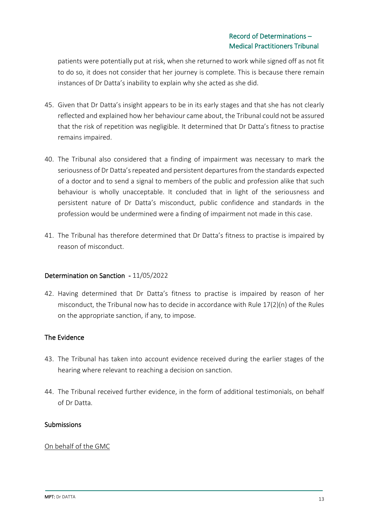patients were potentially put at risk, when she returned to work while signed off as not fit to do so, it does not consider that her journey is complete. This is because there remain instances of Dr Datta's inability to explain why she acted as she did.

- 45. Given that Dr Datta's insight appears to be in its early stages and that she has not clearly reflected and explained how her behaviour came about, the Tribunal could not be assured that the risk of repetition was negligible. It determined that Dr Datta's fitness to practise remains impaired.
- 40. The Tribunal also considered that a finding of impairment was necessary to mark the seriousness of Dr Datta's repeated and persistent departures from the standards expected of a doctor and to send a signal to members of the public and profession alike that such behaviour is wholly unacceptable. It concluded that in light of the seriousness and persistent nature of Dr Datta's misconduct, public confidence and standards in the profession would be undermined were a finding of impairment not made in this case.
- 41. The Tribunal has therefore determined that Dr Datta's fitness to practise is impaired by reason of misconduct.

### Determination on Sanction - 11/05/2022

42. Having determined that Dr Datta's fitness to practise is impaired by reason of her misconduct, the Tribunal now has to decide in accordance with Rule 17(2)(n) of the Rules on the appropriate sanction, if any, to impose.

## The Evidence

- 43. The Tribunal has taken into account evidence received during the earlier stages of the hearing where relevant to reaching a decision on sanction.
- 44. The Tribunal received further evidence, in the form of additional testimonials, on behalf of Dr Datta.

### Submissions

### On behalf of the GMC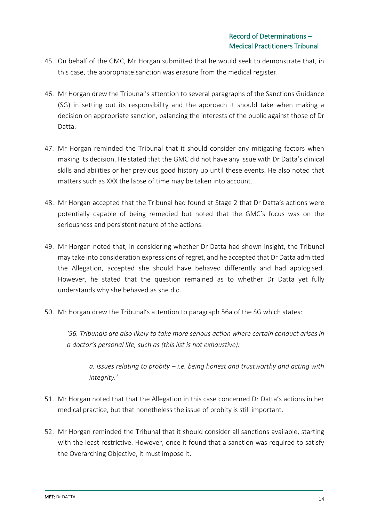- 45. On behalf of the GMC, Mr Horgan submitted that he would seek to demonstrate that, in this case, the appropriate sanction was erasure from the medical register.
- 46. Mr Horgan drew the Tribunal's attention to several paragraphs of the Sanctions Guidance (SG) in setting out its responsibility and the approach it should take when making a decision on appropriate sanction, balancing the interests of the public against those of Dr Datta.
- 47. Mr Horgan reminded the Tribunal that it should consider any mitigating factors when making its decision. He stated that the GMC did not have any issue with Dr Datta's clinical skills and abilities or her previous good history up until these events. He also noted that matters such as XXX the lapse of time may be taken into account.
- 48. Mr Horgan accepted that the Tribunal had found at Stage 2 that Dr Datta's actions were potentially capable of being remedied but noted that the GMC's focus was on the seriousness and persistent nature of the actions.
- 49. Mr Horgan noted that, in considering whether Dr Datta had shown insight, the Tribunal may take into consideration expressions of regret, and he accepted that Dr Datta admitted the Allegation, accepted she should have behaved differently and had apologised. However, he stated that the question remained as to whether Dr Datta yet fully understands why she behaved as she did.
- 50. Mr Horgan drew the Tribunal's attention to paragraph 56a of the SG which states:

*'56. Tribunals are also likely to take more serious action where certain conduct arises in a doctor's personal life, such as (this list is not exhaustive):*

*a. issues relating to probity – i.e. being honest and trustworthy and acting with integrity.'*

- 51. Mr Horgan noted that that the Allegation in this case concerned Dr Datta's actions in her medical practice, but that nonetheless the issue of probity is still important.
- 52. Mr Horgan reminded the Tribunal that it should consider all sanctions available, starting with the least restrictive. However, once it found that a sanction was required to satisfy the Overarching Objective, it must impose it.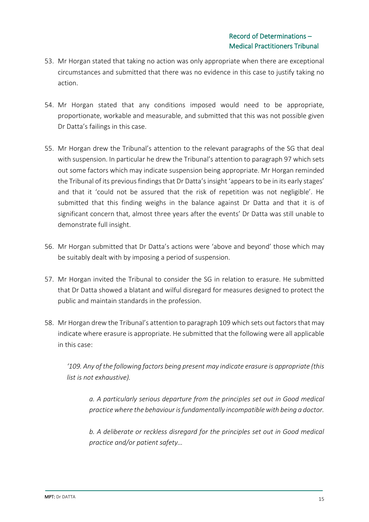- 53. Mr Horgan stated that taking no action was only appropriate when there are exceptional circumstances and submitted that there was no evidence in this case to justify taking no action.
- 54. Mr Horgan stated that any conditions imposed would need to be appropriate, proportionate, workable and measurable, and submitted that this was not possible given Dr Datta's failings in this case.
- 55. Mr Horgan drew the Tribunal's attention to the relevant paragraphs of the SG that deal with suspension. In particular he drew the Tribunal's attention to paragraph 97 which sets out some factors which may indicate suspension being appropriate. Mr Horgan reminded the Tribunal of its previous findings that Dr Datta's insight 'appears to be in its early stages' and that it 'could not be assured that the risk of repetition was not negligible'. He submitted that this finding weighs in the balance against Dr Datta and that it is of significant concern that, almost three years after the events' Dr Datta was still unable to demonstrate full insight.
- 56. Mr Horgan submitted that Dr Datta's actions were 'above and beyond' those which may be suitably dealt with by imposing a period of suspension.
- 57. Mr Horgan invited the Tribunal to consider the SG in relation to erasure. He submitted that Dr Datta showed a blatant and wilful disregard for measures designed to protect the public and maintain standards in the profession.
- 58. Mr Horgan drew the Tribunal's attention to paragraph 109 which sets out factors that may indicate where erasure is appropriate. He submitted that the following were all applicable in this case:

*'109. Any of the following factors being present may indicate erasure is appropriate (this list is not exhaustive).*

*a. A particularly serious departure from the principles set out in Good medical practice where the behaviour is fundamentally incompatible with being a doctor.* 

*b. A deliberate or reckless disregard for the principles set out in Good medical practice and/or patient safety…*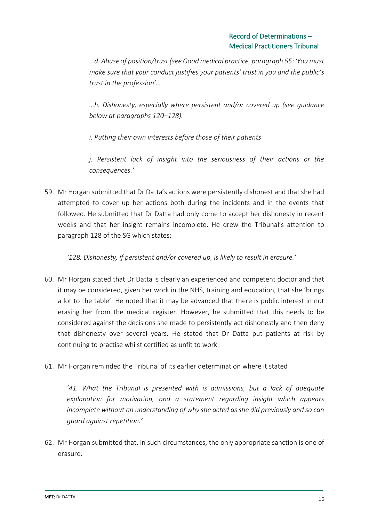*…d. Abuse of position/trust (see Good medical practice, paragraph 65: 'You must make sure that your conduct justifies your patients' trust in you and the public's trust in the profession'…*

*…h. Dishonesty, especially where persistent and/or covered up (see guidance below at paragraphs 120–128).*

*i. Putting their own interests before those of their patients* 

*j. Persistent lack of insight into the seriousness of their actions or the consequences.'*

59. Mr Horgan submitted that Dr Datta's actions were persistently dishonest and that she had attempted to cover up her actions both during the incidents and in the events that followed. He submitted that Dr Datta had only come to accept her dishonesty in recent weeks and that her insight remains incomplete. He drew the Tribunal's attention to paragraph 128 of the SG which states:

*'128. Dishonesty, if persistent and/or covered up, is likely to result in erasure.'*

- 60. Mr Horgan stated that Dr Datta is clearly an experienced and competent doctor and that it may be considered, given her work in the NHS, training and education, that she 'brings a lot to the table'. He noted that it may be advanced that there is public interest in not erasing her from the medical register. However, he submitted that this needs to be considered against the decisions she made to persistently act dishonestly and then deny that dishonesty over several years. He stated that Dr Datta put patients at risk by continuing to practise whilst certified as unfit to work.
- 61. Mr Horgan reminded the Tribunal of its earlier determination where it stated

*'41. What the Tribunal is presented with is admissions, but a lack of adequate explanation for motivation, and a statement regarding insight which appears incomplete without an understanding of why she acted as she did previously and so can guard against repetition.'*

62. Mr Horgan submitted that, in such circumstances, the only appropriate sanction is one of erasure.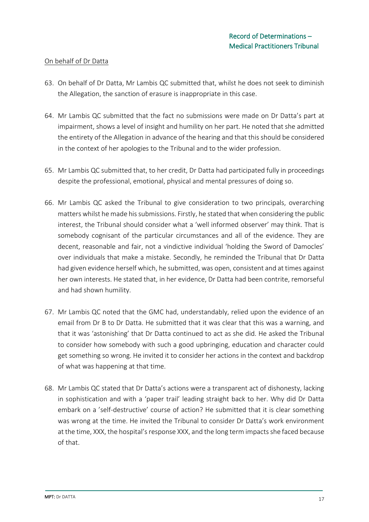### On behalf of Dr Datta

- 63. On behalf of Dr Datta, Mr Lambis QC submitted that, whilst he does not seek to diminish the Allegation, the sanction of erasure is inappropriate in this case.
- 64. Mr Lambis QC submitted that the fact no submissions were made on Dr Datta's part at impairment, shows a level of insight and humility on her part. He noted that she admitted the entirety of the Allegation in advance of the hearing and that this should be considered in the context of her apologies to the Tribunal and to the wider profession.
- 65. Mr Lambis QC submitted that, to her credit, Dr Datta had participated fully in proceedings despite the professional, emotional, physical and mental pressures of doing so.
- 66. Mr Lambis QC asked the Tribunal to give consideration to two principals, overarching matters whilst he made his submissions. Firstly, he stated that when considering the public interest, the Tribunal should consider what a 'well informed observer' may think. That is somebody cognisant of the particular circumstances and all of the evidence. They are decent, reasonable and fair, not a vindictive individual 'holding the Sword of Damocles' over individuals that make a mistake. Secondly, he reminded the Tribunal that Dr Datta had given evidence herself which, he submitted, was open, consistent and at times against her own interests. He stated that, in her evidence, Dr Datta had been contrite, remorseful and had shown humility.
- 67. Mr Lambis QC noted that the GMC had, understandably, relied upon the evidence of an email from Dr B to Dr Datta. He submitted that it was clear that this was a warning, and that it was 'astonishing' that Dr Datta continued to act as she did. He asked the Tribunal to consider how somebody with such a good upbringing, education and character could get something so wrong. He invited it to consider her actions in the context and backdrop of what was happening at that time.
- 68. Mr Lambis QC stated that Dr Datta's actions were a transparent act of dishonesty, lacking in sophistication and with a 'paper trail' leading straight back to her. Why did Dr Datta embark on a 'self-destructive' course of action? He submitted that it is clear something was wrong at the time. He invited the Tribunal to consider Dr Datta's work environment at the time, XXX, the hospital's response XXX, and the long term impacts she faced because of that.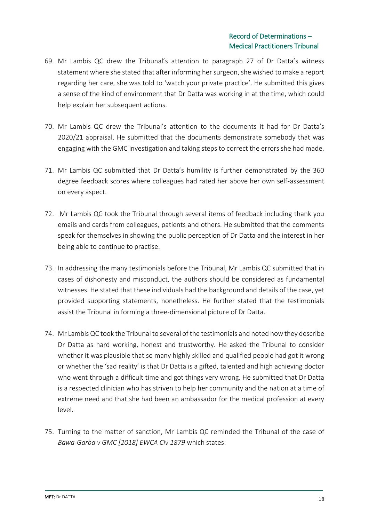- 69. Mr Lambis QC drew the Tribunal's attention to paragraph 27 of Dr Datta's witness statement where she stated that after informing her surgeon, she wished to make a report regarding her care, she was told to 'watch your private practice'. He submitted this gives a sense of the kind of environment that Dr Datta was working in at the time, which could help explain her subsequent actions.
- 70. Mr Lambis QC drew the Tribunal's attention to the documents it had for Dr Datta's 2020/21 appraisal. He submitted that the documents demonstrate somebody that was engaging with the GMC investigation and taking steps to correct the errors she had made.
- 71. Mr Lambis QC submitted that Dr Datta's humility is further demonstrated by the 360 degree feedback scores where colleagues had rated her above her own self-assessment on every aspect.
- 72. Mr Lambis QC took the Tribunal through several items of feedback including thank you emails and cards from colleagues, patients and others. He submitted that the comments speak for themselves in showing the public perception of Dr Datta and the interest in her being able to continue to practise.
- 73. In addressing the many testimonials before the Tribunal, Mr Lambis QC submitted that in cases of dishonesty and misconduct, the authors should be considered as fundamental witnesses. He stated that these individuals had the background and details of the case, yet provided supporting statements, nonetheless. He further stated that the testimonials assist the Tribunal in forming a three-dimensional picture of Dr Datta.
- 74. Mr Lambis QC took the Tribunal to several of the testimonials and noted how they describe Dr Datta as hard working, honest and trustworthy. He asked the Tribunal to consider whether it was plausible that so many highly skilled and qualified people had got it wrong or whether the 'sad reality' is that Dr Datta is a gifted, talented and high achieving doctor who went through a difficult time and got things very wrong. He submitted that Dr Datta is a respected clinician who has striven to help her community and the nation at a time of extreme need and that she had been an ambassador for the medical profession at every level.
- 75. Turning to the matter of sanction, Mr Lambis QC reminded the Tribunal of the case of *Bawa-Garba v GMC [2018] EWCA Civ 1879* which states: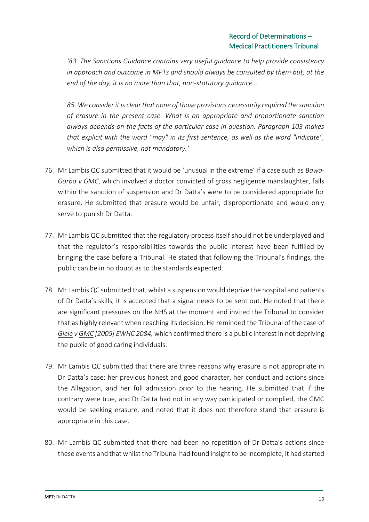*'83. The Sanctions Guidance contains very useful guidance to help provide consistency in approach and outcome in MPTs and should always be consulted by them but, at the end of the day, it is no more than that, non-statutory guidance…*

*85. We consider it is clear that none of those provisions necessarily required the sanction of erasure in the present case. What is an appropriate and proportionate sanction always depends on the facts of the particular case in question. Paragraph 103 makes that explicit with the word "may" in its first sentence, as well as the word "indicate", which is also permissive, not mandatory.'*

- 76. Mr Lambis QC submitted that it would be 'unusual in the extreme' if a case such as *Bawa-Garba v GMC*, which involved a doctor convicted of gross negligence manslaughter, falls within the sanction of suspension and Dr Datta's were to be considered appropriate for erasure. He submitted that erasure would be unfair, disproportionate and would only serve to punish Dr Datta.
- 77. Mr Lambis QC submitted that the regulatory process itself should not be underplayed and that the regulator's responsibilities towards the public interest have been fulfilled by bringing the case before a Tribunal. He stated that following the Tribunal's findings, the public can be in no doubt as to the standards expected.
- 78. Mr Lambis QC submitted that, whilst a suspension would deprive the hospital and patients of Dr Datta's skills, it is accepted that a signal needs to be sent out. He noted that there are significant pressures on the NHS at the moment and invited the Tribunal to consider that as highly relevant when reaching its decision. He reminded the Tribunal of the case of *Giele v GMC [2005] EWHC 2084,* which confirmed there is a public interest in not depriving the public of good caring individuals.
- 79. Mr Lambis QC submitted that there are three reasons why erasure is not appropriate in Dr Datta's case: her previous honest and good character, her conduct and actions since the Allegation, and her full admission prior to the hearing. He submitted that if the contrary were true, and Dr Datta had not in any way participated or complied, the GMC would be seeking erasure, and noted that it does not therefore stand that erasure is appropriate in this case.
- 80. Mr Lambis QC submitted that there had been no repetition of Dr Datta's actions since these events and that whilst the Tribunal had found insight to be incomplete, it had started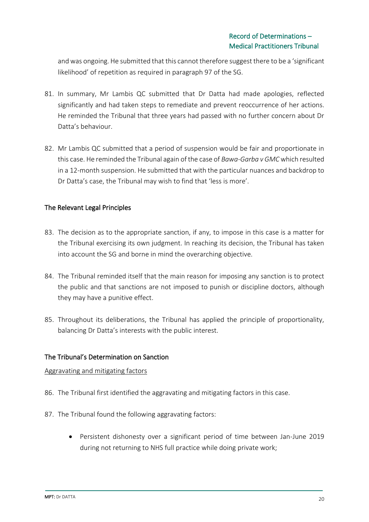and was ongoing. He submitted that this cannot therefore suggest there to be a 'significant likelihood' of repetition as required in paragraph 97 of the SG.

- 81. In summary, Mr Lambis QC submitted that Dr Datta had made apologies, reflected significantly and had taken steps to remediate and prevent reoccurrence of her actions. He reminded the Tribunal that three years had passed with no further concern about Dr Datta's behaviour.
- 82. Mr Lambis QC submitted that a period of suspension would be fair and proportionate in this case. He reminded the Tribunal again of the case of *Bawa-Garba v GMC* which resulted in a 12-month suspension. He submitted that with the particular nuances and backdrop to Dr Datta's case, the Tribunal may wish to find that 'less is more'.

# The Relevant Legal Principles

- 83. The decision as to the appropriate sanction, if any, to impose in this case is a matter for the Tribunal exercising its own judgment. In reaching its decision, the Tribunal has taken into account the SG and borne in mind the overarching objective.
- 84. The Tribunal reminded itself that the main reason for imposing any sanction is to protect the public and that sanctions are not imposed to punish or discipline doctors, although they may have a punitive effect.
- 85. Throughout its deliberations, the Tribunal has applied the principle of proportionality, balancing Dr Datta's interests with the public interest.

### The Tribunal's Determination on Sanction

#### Aggravating and mitigating factors

- 86. The Tribunal first identified the aggravating and mitigating factors in this case.
- 87. The Tribunal found the following aggravating factors:
	- Persistent dishonesty over a significant period of time between Jan-June 2019 during not returning to NHS full practice while doing private work;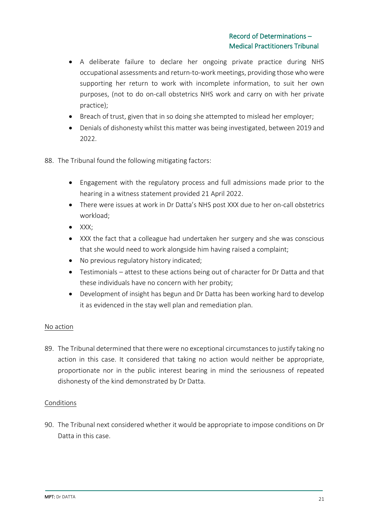- A deliberate failure to declare her ongoing private practice during NHS occupational assessments and return-to-work meetings, providing those who were supporting her return to work with incomplete information, to suit her own purposes, (not to do on-call obstetrics NHS work and carry on with her private practice);
- Breach of trust, given that in so doing she attempted to mislead her employer;
- Denials of dishonesty whilst this matter was being investigated, between 2019 and 2022.
- 88. The Tribunal found the following mitigating factors:
	- Engagement with the regulatory process and full admissions made prior to the hearing in a witness statement provided 21 April 2022.
	- There were issues at work in Dr Datta's NHS post XXX due to her on-call obstetrics workload;
	- XXX;
	- XXX the fact that a colleague had undertaken her surgery and she was conscious that she would need to work alongside him having raised a complaint;
	- No previous regulatory history indicated;
	- Testimonials attest to these actions being out of character for Dr Datta and that these individuals have no concern with her probity;
	- Development of insight has begun and Dr Datta has been working hard to develop it as evidenced in the stay well plan and remediation plan.

#### No action

89. The Tribunal determined that there were no exceptional circumstances to justify taking no action in this case. It considered that taking no action would neither be appropriate, proportionate nor in the public interest bearing in mind the seriousness of repeated dishonesty of the kind demonstrated by Dr Datta.

#### Conditions

90. The Tribunal next considered whether it would be appropriate to impose conditions on Dr Datta in this case.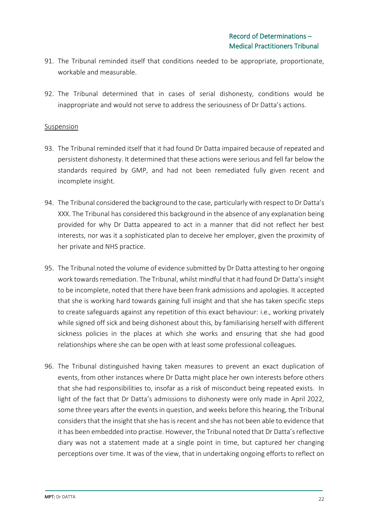- 91. The Tribunal reminded itself that conditions needed to be appropriate, proportionate, workable and measurable.
- 92. The Tribunal determined that in cases of serial dishonesty, conditions would be inappropriate and would not serve to address the seriousness of Dr Datta's actions.

#### Suspension

- 93. The Tribunal reminded itself that it had found Dr Datta impaired because of repeated and persistent dishonesty. It determined that these actions were serious and fell far below the standards required by GMP, and had not been remediated fully given recent and incomplete insight.
- 94. The Tribunal considered the background to the case, particularly with respect to Dr Datta's XXX. The Tribunal has considered this background in the absence of any explanation being provided for why Dr Datta appeared to act in a manner that did not reflect her best interests, nor was it a sophisticated plan to deceive her employer, given the proximity of her private and NHS practice.
- 95. The Tribunal noted the volume of evidence submitted by Dr Datta attesting to her ongoing work towards remediation. The Tribunal, whilst mindful that it had found Dr Datta's insight to be incomplete, noted that there have been frank admissions and apologies. It accepted that she is working hard towards gaining full insight and that she has taken specific steps to create safeguards against any repetition of this exact behaviour: i.e., working privately while signed off sick and being dishonest about this, by familiarising herself with different sickness policies in the places at which she works and ensuring that she had good relationships where she can be open with at least some professional colleagues.
- 96. The Tribunal distinguished having taken measures to prevent an exact duplication of events, from other instances where Dr Datta might place her own interests before others that she had responsibilities to, insofar as a risk of misconduct being repeated exists. In light of the fact that Dr Datta's admissions to dishonesty were only made in April 2022, some three years after the events in question, and weeks before this hearing, the Tribunal considers that the insight that she has is recent and she has not been able to evidence that it has been embedded into practise. However, the Tribunal noted that Dr Datta's reflective diary was not a statement made at a single point in time, but captured her changing perceptions over time. It was of the view, that in undertaking ongoing efforts to reflect on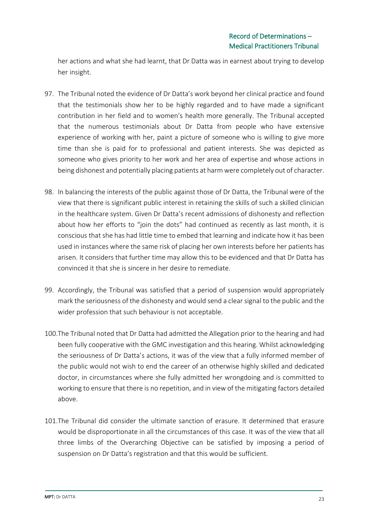her actions and what she had learnt, that Dr Datta was in earnest about trying to develop her insight.

- 97. The Tribunal noted the evidence of Dr Datta's work beyond her clinical practice and found that the testimonials show her to be highly regarded and to have made a significant contribution in her field and to women's health more generally. The Tribunal accepted that the numerous testimonials about Dr Datta from people who have extensive experience of working with her, paint a picture of someone who is willing to give more time than she is paid for to professional and patient interests. She was depicted as someone who gives priority to her work and her area of expertise and whose actions in being dishonest and potentially placing patients at harm were completely out of character.
- 98. In balancing the interests of the public against those of Dr Datta, the Tribunal were of the view that there is significant public interest in retaining the skills of such a skilled clinician in the healthcare system. Given Dr Datta's recent admissions of dishonesty and reflection about how her efforts to "join the dots" had continued as recently as last month, it is conscious that she has had little time to embed that learning and indicate how it has been used in instances where the same risk of placing her own interests before her patients has arisen. It considers that further time may allow this to be evidenced and that Dr Datta has convinced it that she is sincere in her desire to remediate.
- 99. Accordingly, the Tribunal was satisfied that a period of suspension would appropriately mark the seriousness of the dishonesty and would send a clear signal to the public and the wider profession that such behaviour is not acceptable.
- 100.The Tribunal noted that Dr Datta had admitted the Allegation prior to the hearing and had been fully cooperative with the GMC investigation and this hearing. Whilst acknowledging the seriousness of Dr Datta's actions, it was of the view that a fully informed member of the public would not wish to end the career of an otherwise highly skilled and dedicated doctor, in circumstances where she fully admitted her wrongdoing and is committed to working to ensure that there is no repetition, and in view of the mitigating factors detailed above.
- 101.The Tribunal did consider the ultimate sanction of erasure. It determined that erasure would be disproportionate in all the circumstances of this case. It was of the view that all three limbs of the Overarching Objective can be satisfied by imposing a period of suspension on Dr Datta's registration and that this would be sufficient.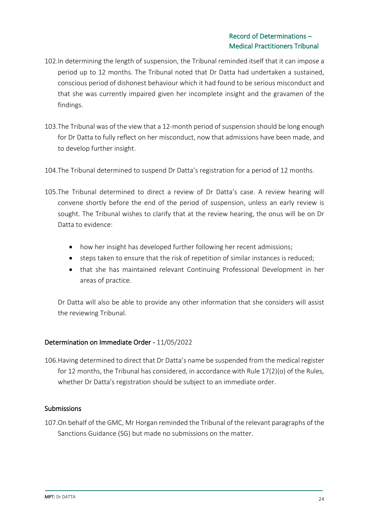- 102.In determining the length of suspension, the Tribunal reminded itself that it can impose a period up to 12 months. The Tribunal noted that Dr Datta had undertaken a sustained, conscious period of dishonest behaviour which it had found to be serious misconduct and that she was currently impaired given her incomplete insight and the gravamen of the findings.
- 103.The Tribunal was of the view that a 12-month period of suspension should be long enough for Dr Datta to fully reflect on her misconduct, now that admissions have been made, and to develop further insight.
- 104.The Tribunal determined to suspend Dr Datta's registration for a period of 12 months.
- 105.The Tribunal determined to direct a review of Dr Datta's case. A review hearing will convene shortly before the end of the period of suspension, unless an early review is sought. The Tribunal wishes to clarify that at the review hearing, the onus will be on Dr Datta to evidence:
	- how her insight has developed further following her recent admissions;
	- steps taken to ensure that the risk of repetition of similar instances is reduced;
	- that she has maintained relevant Continuing Professional Development in her areas of practice.

Dr Datta will also be able to provide any other information that she considers will assist the reviewing Tribunal.

### Determination on Immediate Order - 11/05/2022

106.Having determined to direct that Dr Datta's name be suspended from the medical register for 12 months, the Tribunal has considered, in accordance with Rule 17(2)(o) of the Rules, whether Dr Datta's registration should be subject to an immediate order.

### Submissions

107.On behalf of the GMC, Mr Horgan reminded the Tribunal of the relevant paragraphs of the Sanctions Guidance (SG) but made no submissions on the matter.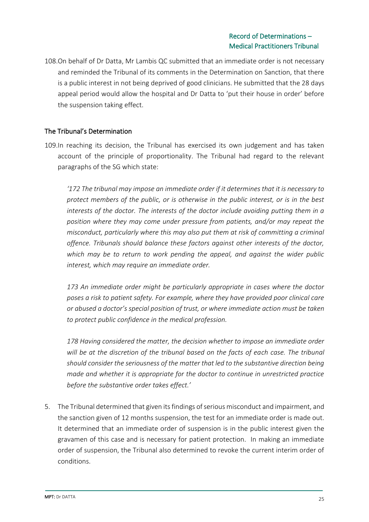108.On behalf of Dr Datta, Mr Lambis QC submitted that an immediate order is not necessary and reminded the Tribunal of its comments in the Determination on Sanction, that there is a public interest in not being deprived of good clinicians. He submitted that the 28 days appeal period would allow the hospital and Dr Datta to 'put their house in order' before the suspension taking effect.

# The Tribunal's Determination

109.In reaching its decision, the Tribunal has exercised its own judgement and has taken account of the principle of proportionality. The Tribunal had regard to the relevant paragraphs of the SG which state:

*'172 The tribunal may impose an immediate order if it determines that it is necessary to protect members of the public, or is otherwise in the public interest, or is in the best interests of the doctor. The interests of the doctor include avoiding putting them in a position where they may come under pressure from patients, and/or may repeat the misconduct, particularly where this may also put them at risk of committing a criminal offence. Tribunals should balance these factors against other interests of the doctor, which may be to return to work pending the appeal, and against the wider public interest, which may require an immediate order.* 

*173 An immediate order might be particularly appropriate in cases where the doctor poses a risk to patient safety. For example, where they have provided poor clinical care or abused a doctor's special position of trust, or where immediate action must be taken to protect public confidence in the medical profession.*

*178 Having considered the matter, the decision whether to impose an immediate order will be at the discretion of the tribunal based on the facts of each case. The tribunal should consider the seriousness of the matter that led to the substantive direction being made and whether it is appropriate for the doctor to continue in unrestricted practice before the substantive order takes effect.'*

5. The Tribunal determined that given its findings of serious misconduct and impairment, and the sanction given of 12 months suspension, the test for an immediate order is made out. It determined that an immediate order of suspension is in the public interest given the gravamen of this case and is necessary for patient protection. In making an immediate order of suspension, the Tribunal also determined to revoke the current interim order of conditions.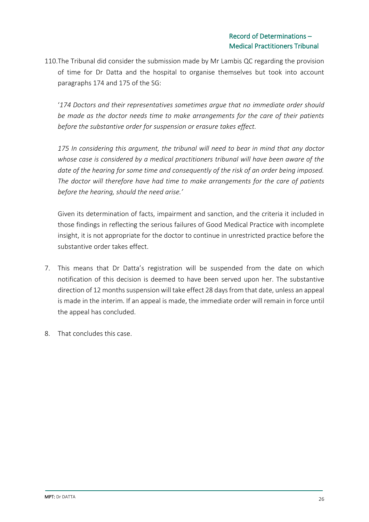110.The Tribunal did consider the submission made by Mr Lambis QC regarding the provision of time for Dr Datta and the hospital to organise themselves but took into account paragraphs 174 and 175 of the SG:

'*174 Doctors and their representatives sometimes argue that no immediate order should be made as the doctor needs time to make arrangements for the care of their patients before the substantive order for suspension or erasure takes effect.*

*175 In considering this argument, the tribunal will need to bear in mind that any doctor whose case is considered by a medical practitioners tribunal will have been aware of the date of the hearing for some time and consequently of the risk of an order being imposed. The doctor will therefore have had time to make arrangements for the care of patients before the hearing, should the need arise.'*

Given its determination of facts, impairment and sanction, and the criteria it included in those findings in reflecting the serious failures of Good Medical Practice with incomplete insight, it is not appropriate for the doctor to continue in unrestricted practice before the substantive order takes effect.

- 7. This means that Dr Datta's registration will be suspended from the date on which notification of this decision is deemed to have been served upon her. The substantive direction of 12 months suspension will take effect 28 days from that date, unless an appeal is made in the interim. If an appeal is made, the immediate order will remain in force until the appeal has concluded.
- 8. That concludes this case.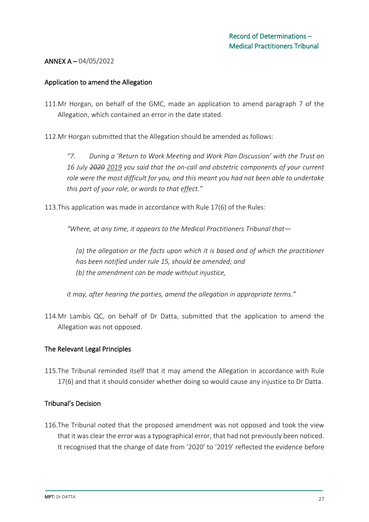### ANNEX A – 04/05/2022

#### Application to amend the Allegation

- 111.Mr Horgan, on behalf of the GMC, made an application to amend paragraph 7 of the Allegation, which contained an error in the date stated.
- 112.Mr Horgan submitted that the Allegation should be amended as follows:

*"7. During a 'Return to Work Meeting and Work Plan Discussion' with the Trust on 16 July 2020 2019 you said that the on-call and obstetric components of your current role were the most difficult for you, and this meant you had not been able to undertake this part of your role, or words to that effect."*

113.This application was made in accordance with Rule 17(6) of the Rules:

*"Where, at any time, it appears to the Medical Practitioners Tribunal that—*

*(a) the allegation or the facts upon which it is based and of which the practitioner has been notified under rule 15, should be amended; and (b) the amendment can be made without injustice,*

*it may, after hearing the parties, amend the allegation in appropriate terms."*

114.Mr Lambis QC, on behalf of Dr Datta, submitted that the application to amend the Allegation was not opposed.

#### The Relevant Legal Principles

115.The Tribunal reminded itself that it may amend the Allegation in accordance with Rule 17(6) and that it should consider whether doing so would cause any injustice to Dr Datta.

#### Tribunal's Decision

116.The Tribunal noted that the proposed amendment was not opposed and took the view that it was clear the error was a typographical error, that had not previously been noticed. It recognised that the change of date from '2020' to '2019' reflected the evidence before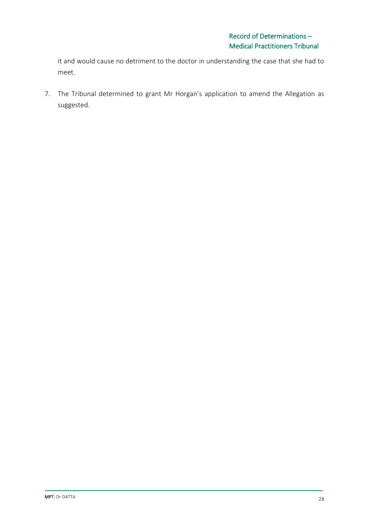it and would cause no detriment to the doctor in understanding the case that she had to meet.

7. The Tribunal determined to grant Mr Horgan's application to amend the Allegation as suggested.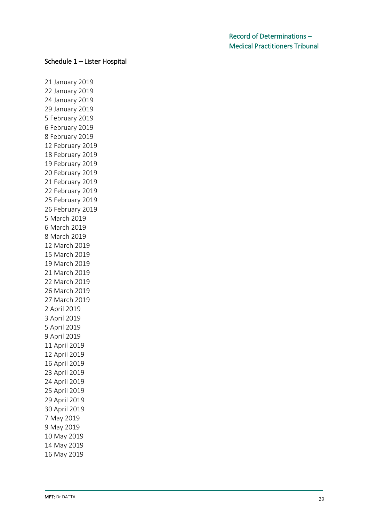### Schedule 1 – Lister Hospital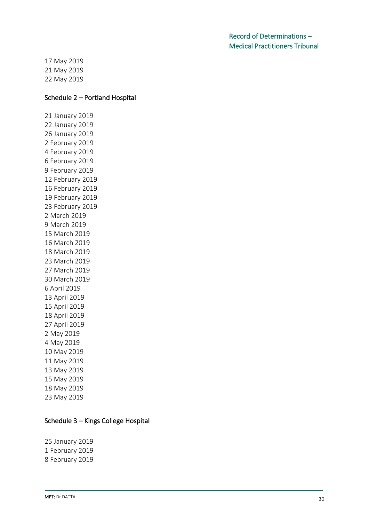17 May 2019 21 May 2019 22 May 2019

#### Schedule 2 – Portland Hospital

### Schedule 3 – Kings College Hospital

25 January 2019 1 February 2019 8 February 2019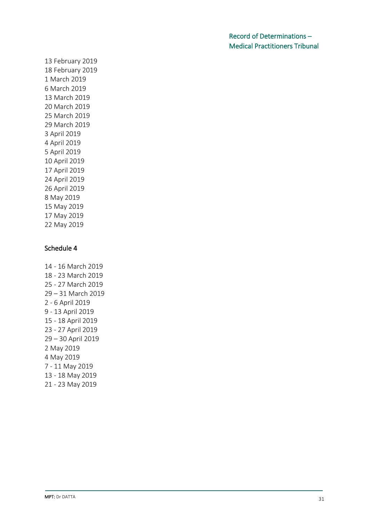### Schedule 4